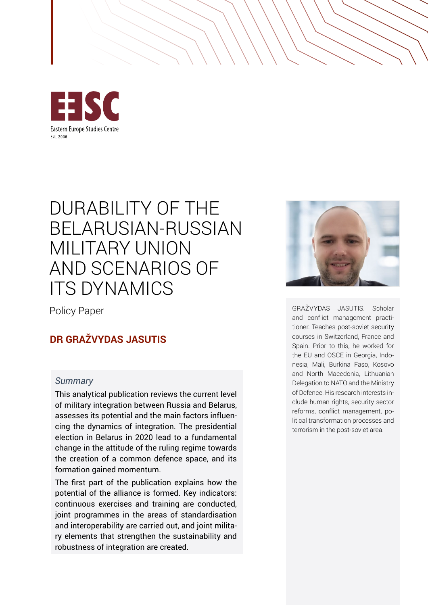

# DURABILITY OF THE BELARUSIAN-RUSSIAN MILITARY UNION AND SCENARIOS OF ITS DYNAMICS

Policy Paper

# **DR GRAŽVYDAS JASUTIS**

#### *Summary*

This analytical publication reviews the current level of military integration between Russia and Belarus, assesses its potential and the main factors influencing the dynamics of integration. The presidential election in Belarus in 2020 lead to a fundamental change in the attitude of the ruling regime towards the creation of a common defence space, and its formation gained momentum.

The first part of the publication explains how the potential of the alliance is formed. Key indicators: continuous exercises and training are conducted, joint programmes in the areas of standardisation and interoperability are carried out, and joint military elements that strengthen the sustainability and robustness of integration are created.



GRAŽVYDAS JASUTIS. Scholar and conflict management practitioner. Teaches post-soviet security courses in Switzerland, France and Spain. Prior to this, he worked for the EU and OSCE in Georgia, Indonesia, Mali, Burkina Faso, Kosovo and North Macedonia, Lithuanian Delegation to NATO and the Ministry of Defence. His research interests include human rights, security sector reforms, conflict management, political transformation processes and terrorism in the post-soviet area.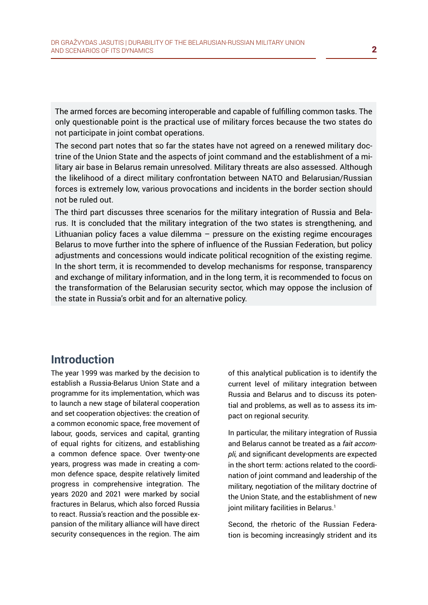The armed forces are becoming interoperable and capable of fulfilling common tasks. The only questionable point is the practical use of military forces because the two states do not participate in joint combat operations.

The second part notes that so far the states have not agreed on a renewed military doctrine of the Union State and the aspects of joint command and the establishment of a military air base in Belarus remain unresolved. Military threats are also assessed. Although the likelihood of a direct military confrontation between NATO and Belarusian/Russian forces is extremely low, various provocations and incidents in the border section should not be ruled out.

The third part discusses three scenarios for the military integration of Russia and Belarus. It is concluded that the military integration of the two states is strengthening, and Lithuanian policy faces a value dilemma – pressure on the existing regime encourages Belarus to move further into the sphere of influence of the Russian Federation, but policy adjustments and concessions would indicate political recognition of the existing regime. In the short term, it is recommended to develop mechanisms for response, transparency and exchange of military information, and in the long term, it is recommended to focus on the transformation of the Belarusian security sector, which may oppose the inclusion of the state in Russia's orbit and for an alternative policy.

# **Introduction**

The year 1999 was marked by the decision to establish a Russia-Belarus Union State and a programme for its implementation, which was to launch a new stage of bilateral cooperation and set cooperation objectives: the creation of a common economic space, free movement of labour, goods, services and capital, granting of equal rights for citizens, and establishing a common defence space. Over twenty-one years, progress was made in creating a common defence space, despite relatively limited progress in comprehensive integration. The years 2020 and 2021 were marked by social fractures in Belarus, which also forced Russia to react. Russia's reaction and the possible expansion of the military alliance will have direct security consequences in the region. The aim of this analytical publication is to identify the current level of military integration between Russia and Belarus and to discuss its potential and problems, as well as to assess its impact on regional security.

In particular, the military integration of Russia and Belarus cannot be treated as a *fait accompli,* and significant developments are expected in the short term: actions related to the coordination of joint command and leadership of the military, negotiation of the military doctrine of the Union State, and the establishment of new joint military facilities in Belarus.<sup>1</sup>

Second, the rhetoric of the Russian Federation is becoming increasingly strident and its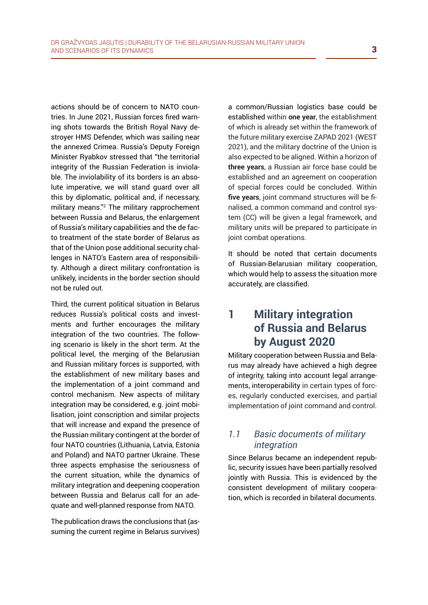actions should be of concern to NATO countries. In June 2021, Russian forces fired warning shots towards the British Royal Navy destroyer HMS Defender, which was sailing near the annexed Crimea. Russia's Deputy Foreign Minister Ryabkov stressed that "the territorial integrity of the Russian Federation is inviolable. The inviolability of its borders is an absolute imperative, we will stand guard over all this by diplomatic, political and, if necessary, military means."2 The military rapprochement between Russia and Belarus, the enlargement of Russia's military capabilities and the de facto treatment of the state border of Belarus as that of the Union pose additional security challenges in NATO's Eastern area of responsibility. Although a direct military confrontation is unlikely, incidents in the border section should not be ruled out.

Third, the current political situation in Belarus reduces Russia's political costs and investments and further encourages the military integration of the two countries. The following scenario is likely in the short term. At the political level, the merging of the Belarusian and Russian military forces is supported, with the establishment of new military bases and the implementation of a joint command and control mechanism. New aspects of military integration may be considered, e.g. joint mobilisation, joint conscription and similar projects that will increase and expand the presence of the Russian military contingent at the border of four NATO countries (Lithuania, Latvia, Estonia and Poland) and NATO partner Ukraine. These three aspects emphasise the seriousness of the current situation, while the dynamics of military integration and deepening cooperation between Russia and Belarus call for an adequate and well-planned response from NATO.

The publication draws the conclusions that (assuming the current regime in Belarus survives) a common/Russian logistics base could be established within **one year**, the establishment of which is already set within the framework of the future military exercise ZAPAD 2021 (WEST 2021), and the military doctrine of the Union is also expected to be aligned. Within a horizon of **three years**, a Russian air force base could be established and an agreement on cooperation of special forces could be concluded. Within **five years**, joint command structures will be finalised, a common command and control system (CC) will be given a legal framework, and military units will be prepared to participate in joint combat operations.

It should be noted that certain documents of Russian-Belarusian military cooperation, which would help to assess the situation more accurately, are classified.

# **1 Military integration of Russia and Belarus by August 2020**

Military cooperation between Russia and Belarus may already have achieved a high degree of integrity, taking into account legal arrangements, interoperability in certain types of forces, regularly conducted exercises, and partial implementation of joint command and control.

### *1.1 Basic documents of military integration*

Since Belarus became an independent republic, security issues have been partially resolved jointly with Russia. This is evidenced by the consistent development of military cooperation, which is recorded in bilateral documents.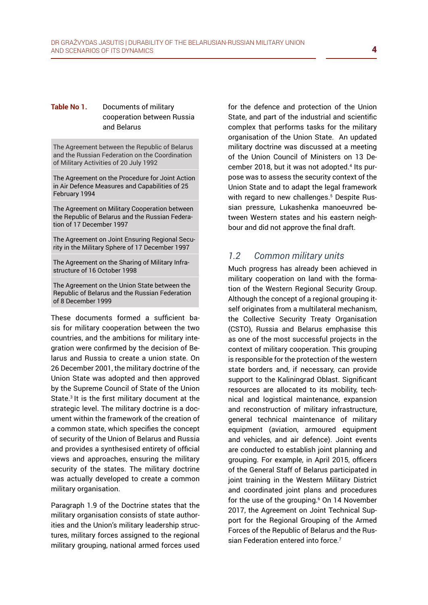#### **Table No 1.** Documents of military cooperation between Russia and Belarus

The Agreement between the Republic of Belarus and the Russian Federation on the Coordination of Military Activities of 20 July 1992

The Agreement on the Procedure for Joint Action in Air Defence Measures and Capabilities of 25 February 1994

The Agreement on Military Cooperation between the Republic of Belarus and the Russian Federation of 17 December 1997

The Agreement on Joint Ensuring Regional Security in the Military Sphere of 17 December 1997

The Agreement on the Sharing of Military Infrastructure of 16 October 1998

The Agreement on the Union State between the Republic of Belarus and the Russian Federation of 8 December 1999

These documents formed a sufficient basis for military cooperation between the two countries, and the ambitions for military integration were confirmed by the decision of Belarus and Russia to create a union state. On 26 December 2001, the military doctrine of the Union State was adopted and then approved by the Supreme Council of State of the Union State.3 It is the first military document at the strategic level. The military doctrine is a document within the framework of the creation of a common state, which specifies the concept of security of the Union of Belarus and Russia and provides a synthesised entirety of official views and approaches, ensuring the military security of the states. The military doctrine was actually developed to create a common military organisation.

Paragraph 1.9 of the Doctrine states that the military organisation consists of state authorities and the Union's military leadership structures, military forces assigned to the regional military grouping, national armed forces used for the defence and protection of the Union State, and part of the industrial and scientific complex that performs tasks for the military organisation of the Union State. An updated military doctrine was discussed at a meeting of the Union Council of Ministers on 13 December 2018, but it was not adopted.<sup>4</sup> Its purpose was to assess the security context of the Union State and to adapt the legal framework with regard to new challenges.<sup>5</sup> Despite Russian pressure, Lukashenka manoeuvred between Western states and his eastern neighbour and did not approve the final draft.

#### *1.2 Common military units*

Much progress has already been achieved in military cooperation on land with the formation of the Western Regional Security Group. Although the concept of a regional grouping itself originates from a multilateral mechanism, the Collective Security Treaty Organisation (CSTO), Russia and Belarus emphasise this as one of the most successful projects in the context of military cooperation. This grouping is responsible for the protection of the western state borders and, if necessary, can provide support to the Kaliningrad Oblast. Significant resources are allocated to its mobility, technical and logistical maintenance, expansion and reconstruction of military infrastructure, general technical maintenance of military equipment (aviation, armoured equipment and vehicles, and air defence). Joint events are conducted to establish joint planning and grouping. For example, in April 2015, officers of the General Staff of Belarus participated in joint training in the Western Military District and coordinated joint plans and procedures for the use of the grouping. $6$  On 14 November 2017, the Agreement on Joint Technical Support for the Regional Grouping of the Armed Forces of the Republic of Belarus and the Russian Federation entered into force.<sup>7</sup>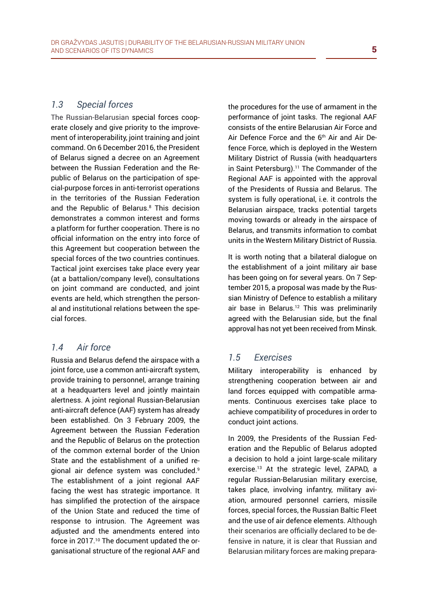#### *1.3 Special forces*

The Russian-Belarusian special forces cooperate closely and give priority to the improvement of interoperability, joint training and joint command. On 6 December 2016, the President of Belarus signed a decree on an Agreement between the Russian Federation and the Republic of Belarus on the participation of special-purpose forces in anti-terrorist operations in the territories of the Russian Federation and the Republic of Belarus.<sup>8</sup> This decision demonstrates a common interest and forms a platform for further cooperation. There is no official information on the entry into force of this Agreement but cooperation between the special forces of the two countries continues. Tactical joint exercises take place every year (at a battalion/company level), consultations on joint command are conducted, and joint events are held, which strengthen the personal and institutional relations between the special forces.

#### *1.4 Air force*

Russia and Belarus defend the airspace with a joint force, use a common anti-aircraft system, provide training to personnel, arrange training at a headquarters level and jointly maintain alertness. A joint regional Russian-Belarusian anti-aircraft defence (AAF) system has already been established. On 3 February 2009, the Agreement between the Russian Federation and the Republic of Belarus on the protection of the common external border of the Union State and the establishment of a unified regional air defence system was concluded.9 The establishment of a joint regional AAF facing the west has strategic importance. It has simplified the protection of the airspace of the Union State and reduced the time of response to intrusion. The Agreement was adjusted and the amendments entered into force in 2017.10 The document updated the organisational structure of the regional AAF and the procedures for the use of armament in the performance of joint tasks. The regional AAF consists of the entire Belarusian Air Force and Air Defence Force and the 6<sup>th</sup> Air and Air Defence Force, which is deployed in the Western Military District of Russia (with headquarters in Saint Petersburg).<sup>11</sup> The Commander of the Regional AAF is appointed with the approval of the Presidents of Russia and Belarus. The system is fully operational, i.e. it controls the Belarusian airspace, tracks potential targets moving towards or already in the airspace of Belarus, and transmits information to combat units in the Western Military District of Russia.

It is worth noting that a bilateral dialogue on the establishment of a joint military air base has been going on for several years. On 7 September 2015, a proposal was made by the Russian Ministry of Defence to establish a military air base in Belarus.<sup>12</sup> This was preliminarily agreed with the Belarusian side, but the final approval has not yet been received from Minsk.

## *1.5 Exercises*

Military interoperability is enhanced by strengthening cooperation between air and land forces equipped with compatible armaments. Continuous exercises take place to achieve compatibility of procedures in order to conduct joint actions.

In 2009, the Presidents of the Russian Federation and the Republic of Belarus adopted a decision to hold a joint large-scale military exercise.<sup>13</sup> At the strategic level, ZAPAD, a regular Russian-Belarusian military exercise, takes place, involving infantry, military aviation, armoured personnel carriers, missile forces, special forces, the Russian Baltic Fleet and the use of air defence elements. Although their scenarios are officially declared to be defensive in nature, it is clear that Russian and Belarusian military forces are making prepara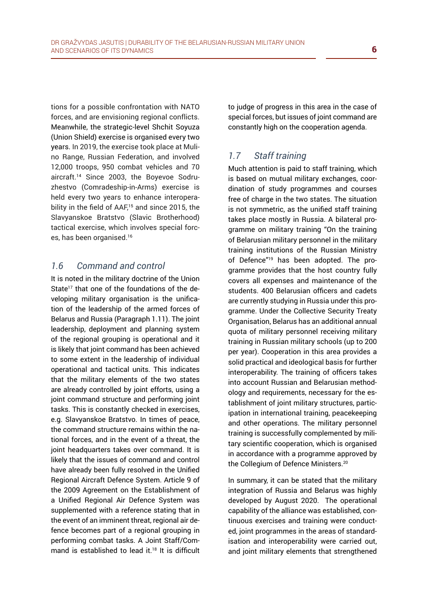tions for a possible confrontation with NATO forces, and are envisioning regional conflicts. Meanwhile, the strategic-level Shchit Soyuza (Union Shield) exercise is organised every two years. In 2019, the exercise took place at Mulino Range, Russian Federation, and involved 12,000 troops, 950 combat vehicles and 70 aircraft.14 Since 2003, the Boyevoe Sodruzhestvo (Comradeship-in-Arms) exercise is held every two years to enhance interoperability in the field of AAF,<sup>15</sup> and since 2015, the Slavyanskoe Bratstvo (Slavic Brotherhood) tactical exercise, which involves special forces, has been organised.16

#### *1.6 Command and control*

It is noted in the military doctrine of the Union State<sup>17</sup> that one of the foundations of the developing military organisation is the unification of the leadership of the armed forces of Belarus and Russia (Paragraph 1.11). The joint leadership, deployment and planning system of the regional grouping is operational and it is likely that joint command has been achieved to some extent in the leadership of individual operational and tactical units. This indicates that the military elements of the two states are already controlled by joint efforts, using a joint command structure and performing joint tasks. This is constantly checked in exercises, e.g. Slavyanskoe Bratstvo. In times of peace, the command structure remains within the national forces, and in the event of a threat, the joint headquarters takes over command. It is likely that the issues of command and control have already been fully resolved in the Unified Regional Aircraft Defence System. Article 9 of the 2009 Agreement on the Establishment of a Unified Regional Air Defence System was supplemented with a reference stating that in the event of an imminent threat, regional air defence becomes part of a regional grouping in performing combat tasks. A Joint Staff/Command is established to lead it.<sup>18</sup> It is difficult to judge of progress in this area in the case of special forces, but issues of joint command are constantly high on the cooperation agenda.

## *1.7 Staff training*

Much attention is paid to staff training, which is based on mutual military exchanges, coordination of study programmes and courses free of charge in the two states. The situation is not symmetric, as the unified staff training takes place mostly in Russia. A bilateral programme on military training "On the training of Belarusian military personnel in the military training institutions of the Russian Ministry of Defence"19 has been adopted. The programme provides that the host country fully covers all expenses and maintenance of the students. 400 Belarusian officers and cadets are currently studying in Russia under this programme. Under the Collective Security Treaty Organisation, Belarus has an additional annual quota of military personnel receiving military training in Russian military schools (up to 200 per year). Cooperation in this area provides a solid practical and ideological basis for further interoperability. The training of officers takes into account Russian and Belarusian methodology and requirements, necessary for the establishment of joint military structures, participation in international training, peacekeeping and other operations. The military personnel training is successfully complemented by military scientific cooperation, which is organised in accordance with a programme approved by the Collegium of Defence Ministers.<sup>20</sup>

In summary, it can be stated that the military integration of Russia and Belarus was highly developed by August 2020. The operational capability of the alliance was established, continuous exercises and training were conducted, joint programmes in the areas of standardisation and interoperability were carried out, and joint military elements that strengthened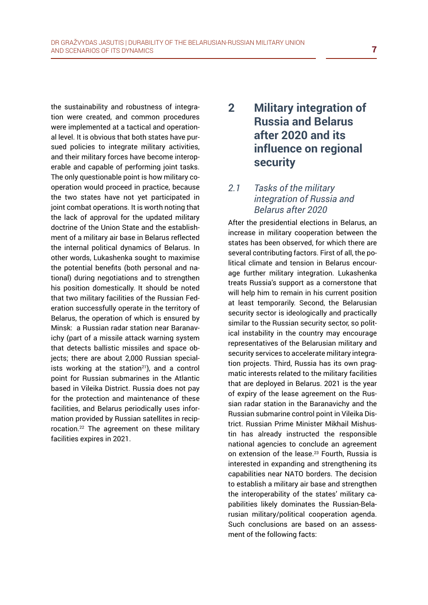the sustainability and robustness of integration were created, and common procedures were implemented at a tactical and operational level. It is obvious that both states have pursued policies to integrate military activities, and their military forces have become interoperable and capable of performing joint tasks. The only questionable point is how military cooperation would proceed in practice, because the two states have not yet participated in joint combat operations. It is worth noting that the lack of approval for the updated military doctrine of the Union State and the establishment of a military air base in Belarus reflected the internal political dynamics of Belarus. In other words, Lukashenka sought to maximise the potential benefits (both personal and national) during negotiations and to strengthen his position domestically. It should be noted that two military facilities of the Russian Federation successfully operate in the territory of Belarus, the operation of which is ensured by Minsk: a Russian radar station near Baranavichy (part of a missile attack warning system that detects ballistic missiles and space objects; there are about 2,000 Russian specialists working at the station<sup>21</sup>), and a control point for Russian submarines in the Atlantic based in Vileika District. Russia does not pay for the protection and maintenance of these facilities, and Belarus periodically uses information provided by Russian satellites in reciprocation.22 The agreement on these military facilities expires in 2021.

# **2 Military integration of Russia and Belarus after 2020 and its influence on regional security**

## *2.1 Tasks of the military integration of Russia and Belarus after 2020*

After the presidential elections in Belarus, an increase in military cooperation between the states has been observed, for which there are several contributing factors. First of all, the political climate and tension in Belarus encourage further military integration. Lukashenka treats Russia's support as a cornerstone that will help him to remain in his current position at least temporarily. Second, the Belarusian security sector is ideologically and practically similar to the Russian security sector, so political instability in the country may encourage representatives of the Belarusian military and security services to accelerate military integration projects. Third, Russia has its own pragmatic interests related to the military facilities that are deployed in Belarus. 2021 is the year of expiry of the lease agreement on the Russian radar station in the Baranavichy and the Russian submarine control point in Vileika District. Russian Prime Minister Mikhail Mishustin has already instructed the responsible national agencies to conclude an agreement on extension of the lease.<sup>23</sup> Fourth, Russia is interested in expanding and strengthening its capabilities near NATO borders. The decision to establish a military air base and strengthen the interoperability of the states' military capabilities likely dominates the Russian-Belarusian military/political cooperation agenda. Such conclusions are based on an assessment of the following facts: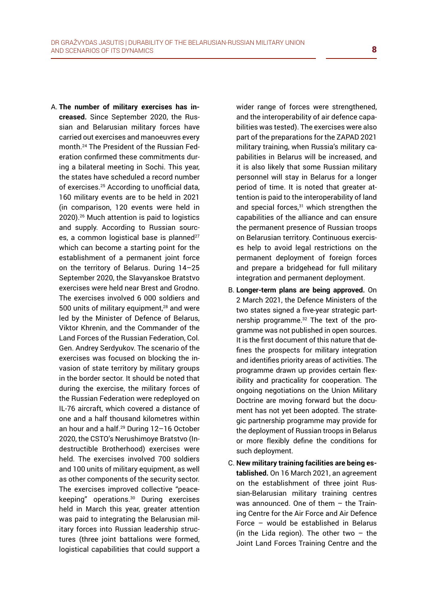A. **The number of military exercises has increased.** Since September 2020, the Russian and Belarusian military forces have carried out exercises and manoeuvres every month.24 The President of the Russian Federation confirmed these commitments during a bilateral meeting in Sochi. This year, the states have scheduled a record number of exercises.25 According to unofficial data, 160 military events are to be held in 2021 (in comparison, 120 events were held in 2020).26 Much attention is paid to logistics and supply. According to Russian sources, a common logistical base is planned<sup>27</sup> which can become a starting point for the establishment of a permanent joint force on the territory of Belarus. During 14–25 September 2020, the Slavyanskoe Bratstvo exercises were held near Brest and Grodno. The exercises involved 6 000 soldiers and 500 units of military equipment, $28$  and were led by the Minister of Defence of Belarus, Viktor Khrenin, and the Commander of the Land Forces of the Russian Federation, Col. Gen. Andrey Serdyukov. The scenario of the exercises was focused on blocking the invasion of state territory by military groups in the border sector. It should be noted that during the exercise, the military forces of the Russian Federation were redeployed on IL-76 aircraft, which covered a distance of one and a half thousand kilometres within an hour and a half.29 During 12–16 October 2020, the CSTO's Nerushimoye Bratstvo (Indestructible Brotherhood) exercises were held. The exercises involved 700 soldiers and 100 units of military equipment, as well as other components of the security sector. The exercises improved collective "peacekeeping" operations.<sup>30</sup> During exercises held in March this year, greater attention was paid to integrating the Belarusian military forces into Russian leadership structures (three joint battalions were formed, logistical capabilities that could support a wider range of forces were strengthened, and the interoperability of air defence capabilities was tested). The exercises were also part of the preparations for the ZAPAD 2021 military training, when Russia's military capabilities in Belarus will be increased, and it is also likely that some Russian military personnel will stay in Belarus for a longer period of time. It is noted that greater attention is paid to the interoperability of land and special forces,<sup>31</sup> which strengthen the capabilities of the alliance and can ensure the permanent presence of Russian troops on Belarusian territory. Continuous exercises help to avoid legal restrictions on the permanent deployment of foreign forces and prepare a bridgehead for full military integration and permanent deployment.

- B. **Longer-term plans are being approved.** On 2 March 2021, the Defence Ministers of the two states signed a five-year strategic partnership programme.32 The text of the programme was not published in open sources. It is the first document of this nature that defines the prospects for military integration and identifies priority areas of activities. The programme drawn up provides certain flexibility and practicality for cooperation. The ongoing negotiations on the Union Military Doctrine are moving forward but the document has not yet been adopted. The strategic partnership programme may provide for the deployment of Russian troops in Belarus or more flexibly define the conditions for such deployment.
- C. **New military training facilities are being established.** On 16 March 2021, an agreement on the establishment of three joint Russian-Belarusian military training centres was announced. One of them – the Training Centre for the Air Force and Air Defence Force – would be established in Belarus (in the Lida region). The other two  $-$  the Joint Land Forces Training Centre and the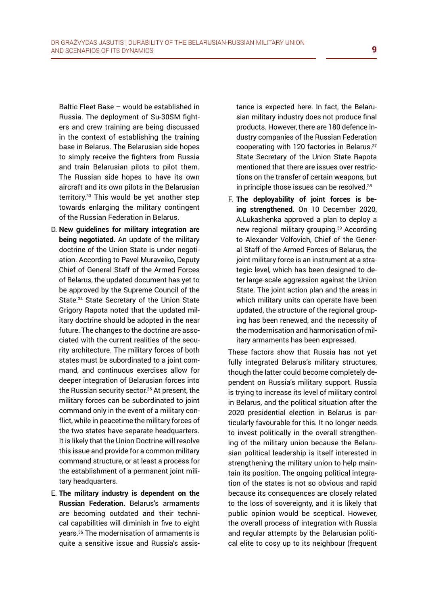Baltic Fleet Base – would be established in Russia. The deployment of Su-30SM fighters and crew training are being discussed in the context of establishing the training base in Belarus. The Belarusian side hopes to simply receive the fighters from Russia and train Belarusian pilots to pilot them. The Russian side hopes to have its own aircraft and its own pilots in the Belarusian territory.33 This would be yet another step towards enlarging the military contingent of the Russian Federation in Belarus.

- D. **New guidelines for military integration are being negotiated.** An update of the military doctrine of the Union State is under negotiation. According to Pavel Muraveiko, Deputy Chief of General Staff of the Armed Forces of Belarus, the updated document has yet to be approved by the Supreme Council of the State.<sup>34</sup> State Secretary of the Union State Grigory Rapota noted that the updated military doctrine should be adopted in the near future. The changes to the doctrine are associated with the current realities of the security architecture. The military forces of both states must be subordinated to a joint command, and continuous exercises allow for deeper integration of Belarusian forces into the Russian security sector.<sup>35</sup> At present, the military forces can be subordinated to joint command only in the event of a military conflict, while in peacetime the military forces of the two states have separate headquarters. It is likely that the Union Doctrine will resolve this issue and provide for a common military command structure, or at least a process for the establishment of a permanent joint military headquarters.
- E. **The military industry is dependent on the Russian Federation.** Belarus's armaments are becoming outdated and their technical capabilities will diminish in five to eight years.36 The modernisation of armaments is quite a sensitive issue and Russia's assis-

tance is expected here. In fact, the Belarusian military industry does not produce final products. However, there are 180 defence industry companies of the Russian Federation cooperating with 120 factories in Belarus.37 State Secretary of the Union State Rapota mentioned that there are issues over restrictions on the transfer of certain weapons, but in principle those issues can be resolved.<sup>38</sup>

F. **The deployability of joint forces is being strengthened.** On 10 December 2020, A.Lukashenka approved a plan to deploy a new regional military grouping.39 According to Alexander Volfovich, Chief of the General Staff of the Armed Forces of Belarus, the joint military force is an instrument at a strategic level, which has been designed to deter large-scale aggression against the Union State. The joint action plan and the areas in which military units can operate have been updated, the structure of the regional grouping has been renewed, and the necessity of the modernisation and harmonisation of military armaments has been expressed.

These factors show that Russia has not yet fully integrated Belarus's military structures, though the latter could become completely dependent on Russia's military support. Russia is trying to increase its level of military control in Belarus, and the political situation after the 2020 presidential election in Belarus is particularly favourable for this. It no longer needs to invest politically in the overall strengthening of the military union because the Belarusian political leadership is itself interested in strengthening the military union to help maintain its position. The ongoing political integration of the states is not so obvious and rapid because its consequences are closely related to the loss of sovereignty, and it is likely that public opinion would be sceptical. However, the overall process of integration with Russia and regular attempts by the Belarusian political elite to cosy up to its neighbour (frequent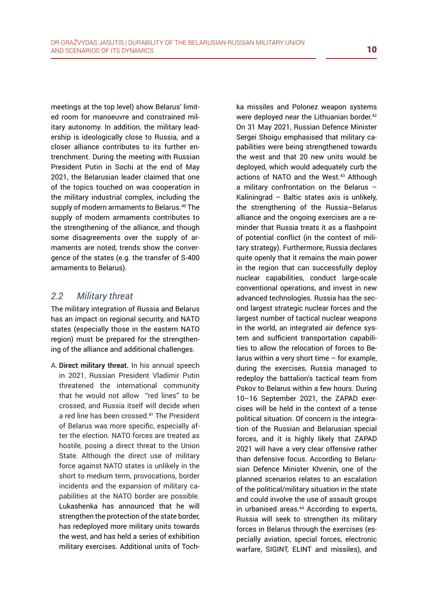meetings at the top level) show Belarus' limited room for manoeuvre and constrained military autonomy. In addition, the military leadership is ideologically close to Russia, and a closer alliance contributes to its further entrenchment. During the meeting with Russian President Putin in Sochi at the end of May 2021, the Belarusian leader claimed that one of the topics touched on was cooperation in the military industrial complex, including the supply of modern armaments to Belarus.<sup>40</sup> The supply of modern armaments contributes to the strengthening of the alliance, and though some disagreements over the supply of armaments are noted, trends show the convergence of the states (e.g. the transfer of S-400 armaments to Belarus).

#### *2.2 Military threat*

The military integration of Russia and Belarus has an impact on regional security, and NATO states (especially those in the eastern NATO region) must be prepared for the strengthening of the alliance and additional challenges.

A. **Direct military threat.** In his annual speech in 2021, Russian President Vladimir Putin threatened the international community that he would not allow "red lines" to be crossed, and Russia itself will decide when a red line has been crossed.<sup>41</sup> The President of Belarus was more specific, especially after the election. NATO forces are treated as hostile, posing a direct threat to the Union State. Although the direct use of military force against NATO states is unlikely in the short to medium term, provocations, border incidents and the expansion of military capabilities at the NATO border are possible. Lukashenka has announced that he will strengthen the protection of the state border, has redeployed more military units towards the west, and has held a series of exhibition military exercises. Additional units of Toch-

ka missiles and Polonez weapon systems were deployed near the Lithuanian border.<sup>42</sup> On 31 May 2021, Russian Defence Minister Sergei Shoigu emphasised that military capabilities were being strengthened towards the west and that 20 new units would be deployed, which would adequately curb the actions of NATO and the West.<sup>43</sup> Although a military confrontation on the Belarus – Kaliningrad – Baltic states axis is unlikely, the strengthening of the Russia–Belarus alliance and the ongoing exercises are a reminder that Russia treats it as a flashpoint of potential conflict (in the context of military strategy). Furthermore, Russia declares quite openly that it remains the main power in the region that can successfully deploy nuclear capabilities, conduct large-scale conventional operations, and invest in new advanced technologies. Russia has the second largest strategic nuclear forces and the largest number of tactical nuclear weapons in the world, an integrated air defence system and sufficient transportation capabilities to allow the relocation of forces to Belarus within a very short time – for example, during the exercises, Russia managed to redeploy the battalion's tactical team from Pskov to Belarus within a few hours. During 10–16 September 2021, the ZAPAD exercises will be held in the context of a tense political situation. Of concern is the integration of the Russian and Belarusian special forces, and it is highly likely that ZAPAD 2021 will have a very clear offensive rather than defensive focus. According to Belarusian Defence Minister Khrenin, one of the planned scenarios relates to an escalation of the political/military situation in the state and could involve the use of assault groups in urbanised areas.<sup>44</sup> According to experts, Russia will seek to strengthen its military forces in Belarus through the exercises (especially aviation, special forces, electronic warfare, SIGINT, ELINT and missiles), and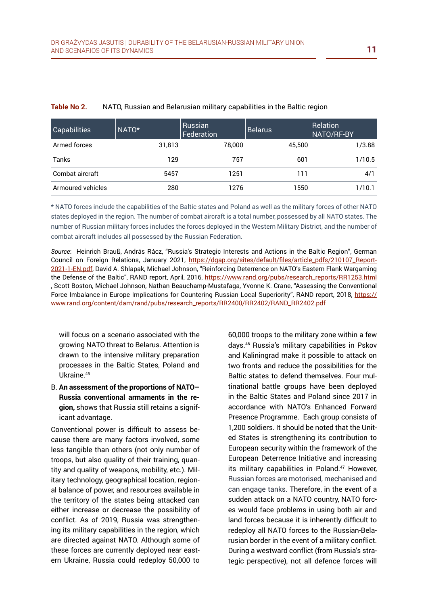| <b>Capabilities</b> | NATO*  | Russian<br>Federation | Belarus | Relation<br>NATO/RF-BY |
|---------------------|--------|-----------------------|---------|------------------------|
| Armed forces        | 31,813 | 78,000                | 45.500  | 1/3.88                 |
| Tanks               | 129    | 757                   | 601     | 1/10.5                 |
| Combat aircraft     | 5457   | 1251                  | 111     | 4/1                    |
| Armoured vehicles   | 280    | 1276                  | 1550    | 1/10.1                 |

#### **Table No 2.** NATO, Russian and Belarusian military capabilities in the Baltic region

\* NATO forces include the capabilities of the Baltic states and Poland as well as the military forces of other NATO states deployed in the region. The number of combat aircraft is a total number, possessed by all NATO states. The number of Russian military forces includes the forces deployed in the Western Military District, and the number of combat aircraft includes all possessed by the Russian Federation.

*Source*: Heinrich Brauß, András Rácz, "Russia's Strategic Interests and Actions in the Baltic Region", German Council on Foreign Relations, January 2021, [https://dgap.org/sites/default/files/article\\_pdfs/210107\\_Report-](https://dgap.org/sites/default/files/article_pdfs/210107_Report-2021-1-EN.pdf)[2021-1-EN.pdf,](https://dgap.org/sites/default/files/article_pdfs/210107_Report-2021-1-EN.pdf) David A. Shlapak, Michael Johnson, "Reinforcing Deterrence on NATO's Eastern Flank Wargaming the Defense of the Baltic", RAND report, April, 2016, [https://www.rand.org/pubs/research\\_reports/RR1253.html](https://www.rand.org/pubs/research_reports/RR1253.html) , Scott Boston, Michael Johnson, Nathan Beauchamp-Mustafaga, Yvonne K. Crane, "Assessing the Conventional Force Imbalance in Europe Implications for Countering Russian Local Superiority", RAND report, 2018, [https://](https://www.rand.org/content/dam/rand/pubs/research_reports/RR2400/RR2402/RAND_RR2402.pdf) [www.rand.org/content/dam/rand/pubs/research\\_reports/RR2400/RR2402/RAND\\_RR2402.pdf](https://www.rand.org/content/dam/rand/pubs/research_reports/RR2400/RR2402/RAND_RR2402.pdf)

will focus on a scenario associated with the growing NATO threat to Belarus. Attention is drawn to the intensive military preparation processes in the Baltic States, Poland and Ukraine.45

B. **An assessment of the proportions of NATO– Russia conventional armaments in the region,** shows that Russia still retains a significant advantage.

Conventional power is difficult to assess because there are many factors involved, some less tangible than others (not only number of troops, but also quality of their training, quantity and quality of weapons, mobility, etc.). Military technology, geographical location, regional balance of power, and resources available in the territory of the states being attacked can either increase or decrease the possibility of conflict. As of 2019, Russia was strengthening its military capabilities in the region, which are directed against NATO. Although some of these forces are currently deployed near eastern Ukraine, Russia could redeploy 50,000 to 60,000 troops to the military zone within a few days.46 Russia's military capabilities in Pskov and Kaliningrad make it possible to attack on two fronts and reduce the possibilities for the Baltic states to defend themselves. Four multinational battle groups have been deployed in the Baltic States and Poland since 2017 in accordance with NATO's Enhanced Forward Presence Programme. Each group consists of 1,200 soldiers. It should be noted that the United States is strengthening its contribution to European security within the framework of the European Deterrence Initiative and increasing its military capabilities in Poland.<sup>47</sup> However, Russian forces are motorised, mechanised and can engage tanks. Therefore, in the event of a sudden attack on a NATO country, NATO forces would face problems in using both air and land forces because it is inherently difficult to redeploy all NATO forces to the Russian-Belarusian border in the event of a military conflict. During a westward conflict (from Russia's strategic perspective), not all defence forces will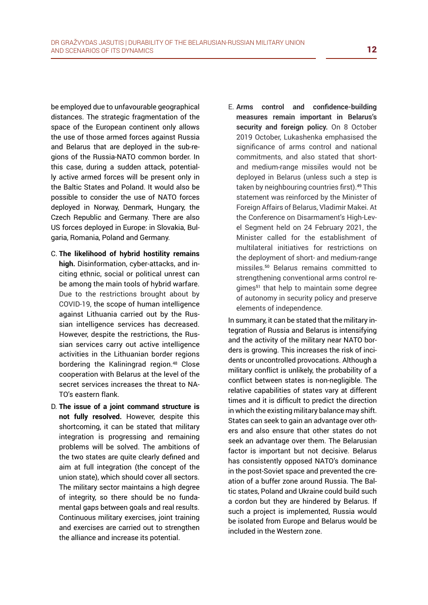be employed due to unfavourable geographical distances. The strategic fragmentation of the space of the European continent only allows the use of those armed forces against Russia and Belarus that are deployed in the sub-regions of the Russia-NATO common border. In this case, during a sudden attack, potentially active armed forces will be present only in the Baltic States and Poland. It would also be possible to consider the use of NATO forces deployed in Norway, Denmark, Hungary, the Czech Republic and Germany. There are also US forces deployed in Europe: in Slovakia, Bulgaria, Romania, Poland and Germany.

- C. **The likelihood of hybrid hostility remains high.** Disinformation, cyber-attacks, and inciting ethnic, social or political unrest can be among the main tools of hybrid warfare. Due to the restrictions brought about by COVID-19, the scope of human intelligence against Lithuania carried out by the Russian intelligence services has decreased. However, despite the restrictions, the Russian services carry out active intelligence activities in the Lithuanian border regions bordering the Kaliningrad region.<sup>48</sup> Close cooperation with Belarus at the level of the secret services increases the threat to NA-TO's eastern flank.
- D. **The issue of a joint command structure is not fully resolved.** However, despite this shortcoming, it can be stated that military integration is progressing and remaining problems will be solved. The ambitions of the two states are quite clearly defined and aim at full integration (the concept of the union state), which should cover all sectors. The military sector maintains a high degree of integrity, so there should be no fundamental gaps between goals and real results. Continuous military exercises, joint training and exercises are carried out to strengthen the alliance and increase its potential.

E. **Arms control and confidence-building measures remain important in Belarus's security and foreign policy.** On 8 October 2019 October, Lukashenka emphasised the significance of arms control and national commitments, and also stated that shortand medium-range missiles would not be deployed in Belarus (unless such a step is taken by neighbouring countries first).49 This statement was reinforced by the Minister of Foreign Affairs of Belarus, Vladimir Makei. At the Conference on Disarmament's High-Level Segment held on 24 February 2021, the Minister called for the establishment of multilateral initiatives for restrictions on the deployment of short- and medium-range missiles.<sup>50</sup> Belarus remains committed to strengthening conventional arms control regimes<sup>51</sup> that help to maintain some degree of autonomy in security policy and preserve elements of independence.

In summary, it can be stated that the military integration of Russia and Belarus is intensifying and the activity of the military near NATO borders is growing. This increases the risk of incidents or uncontrolled provocations. Although a military conflict is unlikely, the probability of a conflict between states is non-negligible. The relative capabilities of states vary at different times and it is difficult to predict the direction in which the existing military balance may shift. States can seek to gain an advantage over others and also ensure that other states do not seek an advantage over them. The Belarusian factor is important but not decisive. Belarus has consistently opposed NATO's dominance in the post-Soviet space and prevented the creation of a buffer zone around Russia. The Baltic states, Poland and Ukraine could build such a cordon but they are hindered by Belarus. If such a project is implemented, Russia would be isolated from Europe and Belarus would be included in the Western zone.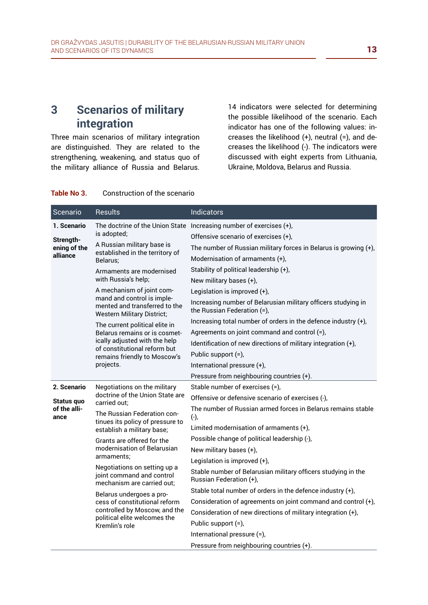# **3 Scenarios of military integration**

Three main scenarios of military integration are distinguished. They are related to the strengthening, weakening, and status quo of the military alliance of Russia and Belarus. 14 indicators were selected for determining the possible likelihood of the scenario. Each indicator has one of the following values: increases the likelihood (+), neutral (=), and decreases the likelihood (-). The indicators were discussed with eight experts from Lithuania, Ukraine, Moldova, Belarus and Russia.

#### **Table No 3.** Construction of the scenario

| Scenario                                             | <b>Results</b>                                                                                                                                                                | Indicators                                                                                   |
|------------------------------------------------------|-------------------------------------------------------------------------------------------------------------------------------------------------------------------------------|----------------------------------------------------------------------------------------------|
| 1. Scenario<br>Strength-<br>ening of the<br>alliance |                                                                                                                                                                               | The doctrine of the Union State Increasing number of exercises $(+)$ ,                       |
|                                                      | is adopted;                                                                                                                                                                   | Offensive scenario of exercises (+),                                                         |
|                                                      | A Russian military base is<br>established in the territory of<br>Belarus:                                                                                                     | The number of Russian military forces in Belarus is growing $(+)$ ,                          |
|                                                      |                                                                                                                                                                               | Modernisation of armaments $(+)$ ,                                                           |
|                                                      | Armaments are modernised<br>with Russia's help;                                                                                                                               | Stability of political leadership (+),                                                       |
|                                                      |                                                                                                                                                                               | New military bases (+),                                                                      |
|                                                      | A mechanism of joint com-<br>mand and control is imple-<br>mented and transferred to the<br><b>Western Military District;</b>                                                 | Legislation is improved $(+)$ ,                                                              |
|                                                      |                                                                                                                                                                               | Increasing number of Belarusian military officers studying in<br>the Russian Federation (=), |
|                                                      | The current political elite in<br>Belarus remains or is cosmet-<br>ically adjusted with the help<br>of constitutional reform but<br>remains friendly to Moscow's<br>projects. | Increasing total number of orders in the defence industry (+),                               |
|                                                      |                                                                                                                                                                               | Agreements on joint command and control (=),                                                 |
|                                                      |                                                                                                                                                                               | Identification of new directions of military integration (+),                                |
|                                                      |                                                                                                                                                                               | Public support (=),                                                                          |
|                                                      |                                                                                                                                                                               | International pressure (+),                                                                  |
|                                                      |                                                                                                                                                                               | Pressure from neighbouring countries (+).                                                    |
| 2. Scenario                                          | Negotiations on the military<br>doctrine of the Union State are<br>carried out:                                                                                               | Stable number of exercises (=),                                                              |
| Status quo<br>of the alli-<br>ance                   |                                                                                                                                                                               | Offensive or defensive scenario of exercises (-),                                            |
|                                                      | The Russian Federation con-<br>tinues its policy of pressure to<br>establish a military base;                                                                                 | The number of Russian armed forces in Belarus remains stable<br>$(-)$ ,                      |
|                                                      |                                                                                                                                                                               | Limited modernisation of armaments (+),                                                      |
|                                                      | Grants are offered for the<br>modernisation of Belarusian<br>armaments;<br>Negotiations on setting up a<br>joint command and control<br>mechanism are carried out:            | Possible change of political leadership (-),                                                 |
|                                                      |                                                                                                                                                                               | New military bases (+),                                                                      |
|                                                      |                                                                                                                                                                               | Legislation is improved $(+)$ ,                                                              |
|                                                      |                                                                                                                                                                               | Stable number of Belarusian military officers studying in the<br>Russian Federation (+),     |
|                                                      | Belarus undergoes a pro-<br>cess of constitutional reform<br>controlled by Moscow, and the<br>political elite welcomes the<br>Kremlin's role                                  | Stable total number of orders in the defence industry $(+)$ ,                                |
|                                                      |                                                                                                                                                                               | Consideration of agreements on joint command and control (+),                                |
|                                                      |                                                                                                                                                                               | Consideration of new directions of military integration (+),                                 |
|                                                      |                                                                                                                                                                               | Public support (=),                                                                          |
|                                                      |                                                                                                                                                                               | International pressure (=),                                                                  |
|                                                      |                                                                                                                                                                               | Pressure from neighbouring countries (+).                                                    |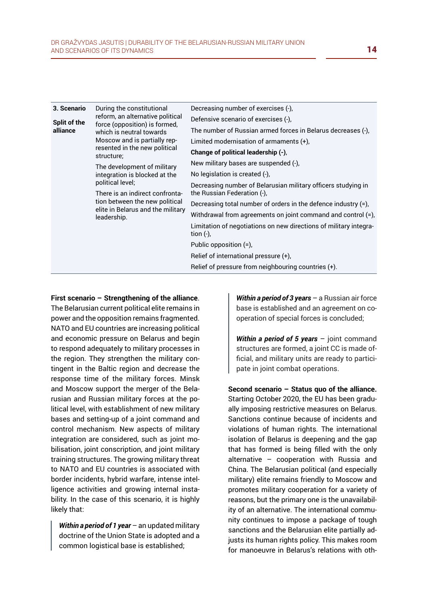| 3. Scenario<br>Split of the<br>alliance | During the constitutional<br>reform, an alternative political<br>force (opposition) is formed,<br>which is neutral towards<br>Moscow and is partially rep-<br>resented in the new political<br>structure;<br>The development of military<br>political level;<br>There is an indirect confronta- | Decreasing number of exercises (-),<br>Defensive scenario of exercises (-),<br>The number of Russian armed forces in Belarus decreases (-),<br>Limited modernisation of armaments $(+)$ ,<br>Change of political leadership (-),<br>New military bases are suspended (-),<br>No legislation is created (-),<br>Decreasing number of Belarusian military officers studying in<br>the Russian Federation (-), |
|-----------------------------------------|-------------------------------------------------------------------------------------------------------------------------------------------------------------------------------------------------------------------------------------------------------------------------------------------------|-------------------------------------------------------------------------------------------------------------------------------------------------------------------------------------------------------------------------------------------------------------------------------------------------------------------------------------------------------------------------------------------------------------|
|                                         | integration is blocked at the<br>tion between the new political<br>elite in Belarus and the military<br>leadership.                                                                                                                                                                             | Decreasing total number of orders in the defence industry (=),<br>Withdrawal from agreements on joint command and control (=),<br>Limitation of negotiations on new directions of military integra-<br>tion $(-)$ ,<br>Public opposition $(=)$ ,<br>Relief of international pressure $(+)$ ,<br>Relief of pressure from neighbouring countries (+).                                                         |

**First scenario – Strengthening of the alliance**.

The Belarusian current political elite remains in power and the opposition remains fragmented. NATO and EU countries are increasing political and economic pressure on Belarus and begin to respond adequately to military processes in the region. They strengthen the military contingent in the Baltic region and decrease the response time of the military forces. Minsk and Moscow support the merger of the Belarusian and Russian military forces at the political level, with establishment of new military bases and setting-up of a joint command and control mechanism. New aspects of military integration are considered, such as joint mobilisation, joint conscription, and joint military training structures. The growing military threat to NATO and EU countries is associated with border incidents, hybrid warfare, intense intelligence activities and growing internal instability. In the case of this scenario, it is highly likely that:

*Within a period of 1 year* – an updated military doctrine of the Union State is adopted and a common logistical base is established;

*Within a period of 3 years* – a Russian air force base is established and an agreement on cooperation of special forces is concluded;

*Within a period of 5 years* – joint command structures are formed, a joint CC is made official, and military units are ready to participate in joint combat operations.

**Second scenario – Status quo of the alliance.** Starting October 2020, the EU has been gradually imposing restrictive measures on Belarus. Sanctions continue because of incidents and violations of human rights. The international isolation of Belarus is deepening and the gap that has formed is being filled with the only alternative – cooperation with Russia and China. The Belarusian political (and especially military) elite remains friendly to Moscow and promotes military cooperation for a variety of reasons, but the primary one is the unavailability of an alternative. The international community continues to impose a package of tough sanctions and the Belarusian elite partially adjusts its human rights policy. This makes room for manoeuvre in Belarus's relations with oth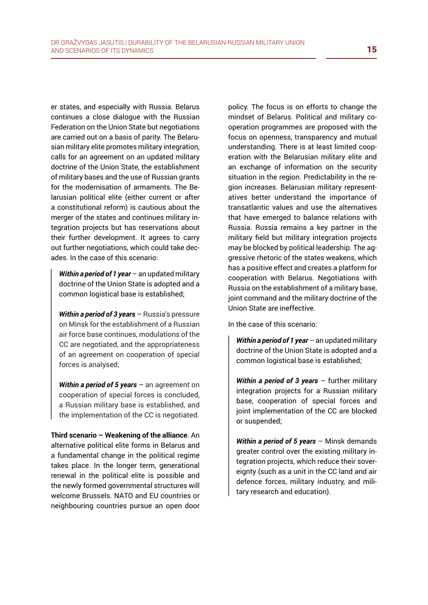er states, and especially with Russia. Belarus continues a close dialogue with the Russian Federation on the Union State but negotiations are carried out on a basis of parity. The Belarusian military elite promotes military integration, calls for an agreement on an updated military doctrine of the Union State, the establishment of military bases and the use of Russian grants for the modernisation of armaments. The Belarusian political elite (either current or after a constitutional reform) is cautious about the merger of the states and continues military integration projects but has reservations about their further development. It agrees to carry out further negotiations, which could take decades. In the case of this scenario:

*Within a period of 1 year* – an updated military doctrine of the Union State is adopted and a common logistical base is established;

*Within a period of 3 years* – Russia's pressure on Minsk for the establishment of a Russian air force base continues, modulations of the CC are negotiated, and the appropriateness of an agreement on cooperation of special forces is analysed;

*Within a period of 5 years* – an agreement on cooperation of special forces is concluded, a Russian military base is established, and the implementation of the CC is negotiated.

**Third scenario – Weakening of the alliance**. An alternative political elite forms in Belarus and a fundamental change in the political regime takes place. In the longer term, generational renewal in the political elite is possible and the newly formed governmental structures will welcome Brussels. NATO and EU countries or neighbouring countries pursue an open door policy. The focus is on efforts to change the mindset of Belarus. Political and military cooperation programmes are proposed with the focus on openness, transparency and mutual understanding. There is at least limited cooperation with the Belarusian military elite and an exchange of information on the security situation in the region. Predictability in the region increases. Belarusian military representatives better understand the importance of transatlantic values and use the alternatives that have emerged to balance relations with Russia. Russia remains a key partner in the military field but military integration projects may be blocked by political leadership. The aggressive rhetoric of the states weakens, which has a positive effect and creates a platform for cooperation with Belarus. Negotiations with Russia on the establishment of a military base, joint command and the military doctrine of the Union State are ineffective.

In the case of this scenario:

*Within a period of 1 year* – an updated military doctrine of the Union State is adopted and a common logistical base is established;

*Within a period of 3 years* – further military integration projects for a Russian military base, cooperation of special forces and joint implementation of the CC are blocked or suspended;

*Within a period of 5 years* – Minsk demands greater control over the existing military integration projects, which reduce their sovereignty (such as a unit in the CC land and air defence forces, military industry, and military research and education).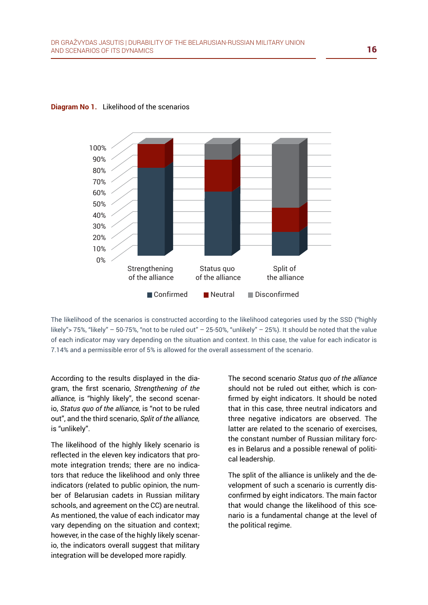

#### **Diagram No 1.** Likelihood of the scenarios

The likelihood of the scenarios is constructed according to the likelihood categories used by the SSD ("highly likely"> 75%, "likely" – 50-75%, "not to be ruled out" – 25-50%, "unlikely" – 25%). It should be noted that the value of each indicator may vary depending on the situation and context. In this case, the value for each indicator is 7.14% and a permissible error of 5% is allowed for the overall assessment of the scenario.

According to the results displayed in the diagram, the first scenario, *Strengthening of the alliance,* is "highly likely", the second scenario, *Status quo of the alliance,* is "not to be ruled out", and the third scenario, *Split of the alliance,* is "unlikely".

The likelihood of the highly likely scenario is reflected in the eleven key indicators that promote integration trends; there are no indicators that reduce the likelihood and only three indicators (related to public opinion, the number of Belarusian cadets in Russian military schools, and agreement on the CC) are neutral. As mentioned, the value of each indicator may vary depending on the situation and context; however, in the case of the highly likely scenario, the indicators overall suggest that military integration will be developed more rapidly.

The second scenario *Status quo of the alliance* should not be ruled out either, which is confirmed by eight indicators. It should be noted that in this case, three neutral indicators and three negative indicators are observed. The latter are related to the scenario of exercises, the constant number of Russian military forces in Belarus and a possible renewal of political leadership.

The split of the alliance is unlikely and the development of such a scenario is currently disconfirmed by eight indicators. The main factor that would change the likelihood of this scenario is a fundamental change at the level of the political regime.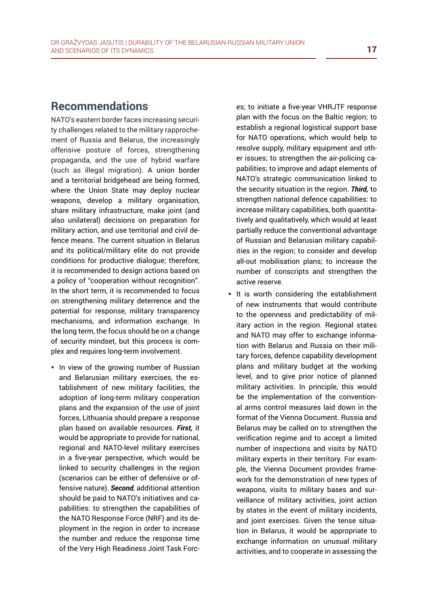# **Recommendations**

NATO's eastern border faces increasing security challenges related to the military rapprochement of Russia and Belarus, the increasingly offensive posture of forces, strengthening propaganda, and the use of hybrid warfare (such as illegal migration). A union border and a territorial bridgehead are being formed, where the Union State may deploy nuclear weapons, develop a military organisation, share military infrastructure, make joint (and also unilateral) decisions on preparation for military action, and use territorial and civil defence means. The current situation in Belarus and its political/military elite do not provide conditions for productive dialogue; therefore, it is recommended to design actions based on a policy of "cooperation without recognition". In the short term, it is recommended to focus on strengthening military deterrence and the potential for response, military transparency mechanisms, and information exchange. In the long term, the focus should be on a change of security mindset, but this process is complex and requires long-term involvement.

In view of the growing number of Russian and Belarusian military exercises, the establishment of new military facilities, the adoption of long-term military cooperation plans and the expansion of the use of joint forces, Lithuania should prepare a response plan based on available resources. *First,* it would be appropriate to provide for national, regional and NATO-level military exercises in a five-year perspective, which would be linked to security challenges in the region (scenarios can be either of defensive or offensive nature). *Second*, additional attention should be paid to NATO's initiatives and capabilities: to strengthen the capabilities of the NATO Response Force (NRF) and its deployment in the region in order to increase the number and reduce the response time of the Very High Readiness Joint Task Forc-

es; to initiate a five-year VHRJTF response plan with the focus on the Baltic region; to establish a regional logistical support base for NATO operations, which would help to resolve supply, military equipment and other issues; to strengthen the air-policing capabilities; to improve and adapt elements of NATO's strategic communication linked to the security situation in the region. *Third,* to strengthen national defence capabilities: to increase military capabilities, both quantitatively and qualitatively, which would at least partially reduce the conventional advantage of Russian and Belarusian military capabilities in the region; to consider and develop all-out mobilisation plans; to increase the number of conscripts and strengthen the active reserve.

It is worth considering the establishment of new instruments that would contribute to the openness and predictability of military action in the region. Regional states and NATO may offer to exchange information with Belarus and Russia on their military forces, defence capability development plans and military budget at the working level, and to give prior notice of planned military activities. In principle, this would be the implementation of the conventional arms control measures laid down in the format of the Vienna Document. Russia and Belarus may be called on to strengthen the verification regime and to accept a limited number of inspections and visits by NATO military experts in their territory. For example, the Vienna Document provides framework for the demonstration of new types of weapons, visits to military bases and surveillance of military activities, joint action by states in the event of military incidents, and joint exercises. Given the tense situation in Belarus, it would be appropriate to exchange information on unusual military activities, and to cooperate in assessing the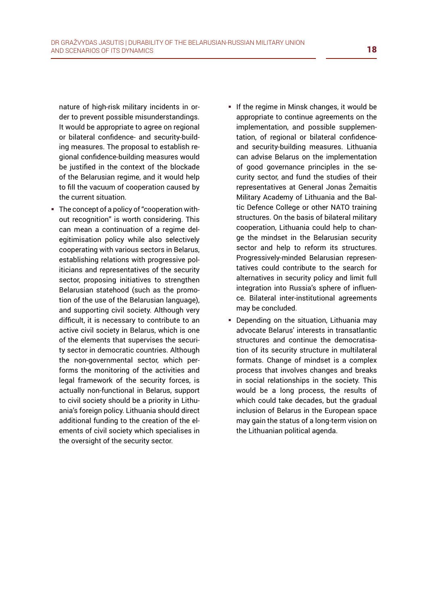nature of high-risk military incidents in order to prevent possible misunderstandings. It would be appropriate to agree on regional or bilateral confidence- and security-building measures. The proposal to establish regional confidence-building measures would be justified in the context of the blockade of the Belarusian regime, and it would help to fill the vacuum of cooperation caused by the current situation.

- The concept of a policy of "cooperation without recognition" is worth considering. This can mean a continuation of a regime delegitimisation policy while also selectively cooperating with various sectors in Belarus, establishing relations with progressive politicians and representatives of the security sector, proposing initiatives to strengthen Belarusian statehood (such as the promotion of the use of the Belarusian language), and supporting civil society. Although very difficult, it is necessary to contribute to an active civil society in Belarus, which is one of the elements that supervises the security sector in democratic countries. Although the non-governmental sector, which performs the monitoring of the activities and legal framework of the security forces, is actually non-functional in Belarus, support to civil society should be a priority in Lithuania's foreign policy. Lithuania should direct additional funding to the creation of the elements of civil society which specialises in the oversight of the security sector.
- If the regime in Minsk changes, it would be appropriate to continue agreements on the implementation, and possible supplementation, of regional or bilateral confidenceand security-building measures. Lithuania can advise Belarus on the implementation of good governance principles in the security sector, and fund the studies of their representatives at General Jonas Žemaitis Military Academy of Lithuania and the Baltic Defence College or other NATO training structures. On the basis of bilateral military cooperation, Lithuania could help to change the mindset in the Belarusian security sector and help to reform its structures. Progressively-minded Belarusian representatives could contribute to the search for alternatives in security policy and limit full integration into Russia's sphere of influence. Bilateral inter-institutional agreements may be concluded.
- Depending on the situation, Lithuania may advocate Belarus' interests in transatlantic structures and continue the democratisation of its security structure in multilateral formats. Change of mindset is a complex process that involves changes and breaks in social relationships in the society. This would be a long process, the results of which could take decades, but the gradual inclusion of Belarus in the European space may gain the status of a long-term vision on the Lithuanian political agenda.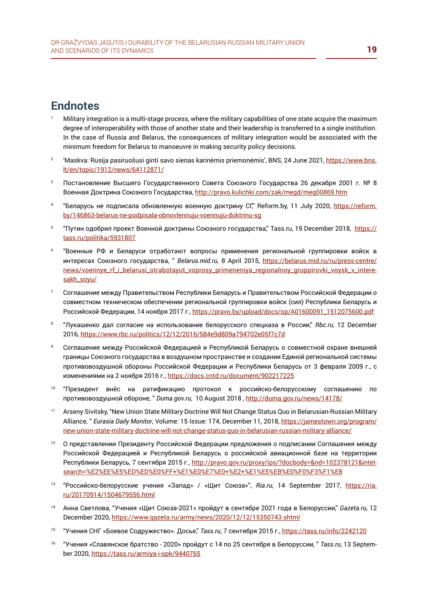## **Endnotes**

- <sup>1</sup>Military integration is a multi-stage process, where the military capabilities of one state acquire the maximum degree of interoperability with those of another state and their leadership is transferred to a single institution. In the case of Russia and Belarus, the consequences of military integration would be associated with the minimum freedom for Belarus to manoeuvre in making security policy decisions.
- <sup>2</sup> Maskva: Rusija pasiruošusi ginti savo sienas karinėmis priemonėmis', BNS, 24 June 2021, [https://www.bns.](https://www.bns.lt/en/topic/1912/news/64112871/) [lt/en/topic/1912/news/64112871/](https://www.bns.lt/en/topic/1912/news/64112871/)
- <sup>3</sup>Постановление Высшего Государственного Совета Союзного Государства 26 декабря 2001 г. № 8 Военная Доктрина Союзного Государства,<http://pravo.kulichki.com/zak/megd/meg00869.htm>
- 4 "Беларусь не подписала обновленную военную доктрину СГ," Reform.by, 11 July 2020, [https://reform.](https://reform.by/146863-belarus-ne-podpisala-obnovlennuju-voennuju-doktrinu-sg) [by/146863-belarus-ne-podpisala-obnovlennuju-voennuju-doktrinu-sg](https://reform.by/146863-belarus-ne-podpisala-obnovlennuju-voennuju-doktrinu-sg)
- "Путин одобрил проект Военной доктрины Союзного государства," Tass.ru, 19 December 2018, [https://](https://tass.ru/politika/5931807) tass[.ru/politika/5931807](https://tass.ru/politika/5931807)
- <sup>6</sup>"Военные РФ и Беларуси отработают вопросы применения региональной группировки войск в интересах Союзного государства, " *Belarus.mid.ru*, 8 April 2015, [https://belarus.mid.ru/ru/press-centre/](https://belarus.mid.ru/ru/press-centre/news/voennye_rf_i_belarusi_otrabotayut_voprosy_primeneniya_regionalnoy_gruppirovki_voysk_v_interesakh_soyu/) [news/voennye\\_rf\\_i\\_belarusi\\_otrabotayut\\_voprosy\\_primeneniya\\_regionalnoy\\_gruppirovki\\_voysk\\_v\\_intere](https://belarus.mid.ru/ru/press-centre/news/voennye_rf_i_belarusi_otrabotayut_voprosy_primeneniya_regionalnoy_gruppirovki_voysk_v_interesakh_soyu/)[sakh\\_soyu/](https://belarus.mid.ru/ru/press-centre/news/voennye_rf_i_belarusi_otrabotayut_voprosy_primeneniya_regionalnoy_gruppirovki_voysk_v_interesakh_soyu/)
- <sup>7</sup>Соглашение между Правительством Республики Беларусь и Правительством Российской Федерации о совместном техническом обеспечении региональной группировки войск (сил) Республики Беларусь и Российской Федерации, 14 ноября 2017 г., [https://pravo.by/upload/docs/op/A01600091\\_1512075600.pdf](https://pravo.by/upload/docs/op/A01600091_1512075600.pdf)
- 8 "Лукашенко дал согласие на использование белорусского спецназа в России," *Rbc.ru*, 12 December 2016, [https://www.rbc.ru/politics/12/12/2016/584e9d809a794702e05f7](https://www.rbc.ru/politics/12/12/2016/584e9d809a794702e05f7c7d)c7d
- Соглашение между Российской Федерацией и Республикой Беларусь о совместной охране внешней границы Союзного государства в воздушном пространстве и создании Единой региональной системы противовоздушной обороны Российской Федерации и Республики Беларусь от 3 февраля 2009 г., с изменениями на 2 ноября 2016 г.,<https://docs.cntd.ru/document/902217225>
- 10 "Президент внёс на ратификацию протокол к российско-белорусскому соглашению по противовоздушной обороне, " *Duma.gov.ru*, 10 August 2018 ,<http://duma.gov.ru/news/14178/>
- <sup>11</sup>Arseny Sivitsky, "New Union State Military Doctrine Will Not Change Status Quo in Belarusian-Russian Military Alliance, " *Eurasia Daily Monitor*, Volume: 15 Issue: 174, December 11, 2018, [https://jamestown.org/program/](https://jamestown.org/program/new-union-state-military-doctrine-will-not-change-status-quo-in-belaru) [new-union-state-military-doctrine-will-not-change-status-quo-in-belarusian-russian-military-alliance/](https://jamestown.org/program/new-union-state-military-doctrine-will-not-change-status-quo-in-belaru)
- 12 О представлении Президенту Российской Федерации предложения о подписании Соглашения между Российской Федерацией и Республикой Беларусь о российской авиационной базе на территории Республики Беларусь, 7 сентября 2015 г., [http://pravo.gov.ru/proxy/ips/?docbody=&nd=102378121&intel](http://pravo.gov.ru/proxy/ips/?docbody=&nd=102378121&intelsearch=%E2%EE%E5%ED%ED%E0%FF+%E1%E0%E7%E0+%E2+%E1%E5%EB%E0%F0%F3%F1%E8)search[=%E2%EE%E5%ED%ED%E0%FF+%E1%E0%E7%E0+%E2+%E1%E5%EB%E0%F0%F3%F1%E8](http://pravo.gov.ru/proxy/ips/?docbody=&nd=102378121&intelsearch=%E2%EE%E5%ED%ED%E0%FF+%E1%E0%E7%E0+%E2+%E1%E5%EB%E0%F0%F3%F1%E8)
- 13 "Российско-белорусские учения «Запад» / «Щит Союза»", *Ria.ru*, 14 September 2017, [https://ria.](https://ria.ru/20170914/1504679556.html) [ru/20170914/1504679556.html](https://ria.ru/20170914/1504679556.html)
- 14 Анна Светлова, "Учения «Щит Союза-2021» пройдут в сентябре 2021 года в Белоруссии," Gazeta.ru, 12 December 2020, <https://www.gazeta.ru/army/news/2020/12/12/15350743.shtml>
- 15 "Учения СНГ «Боевое Содружество». Досье," *Tass.ru*, 7 сентября 2015 г., <https://tass.ru/info/2242120>
- 16 "Учения «Славянское братство 2020» пройдут с 14 по 25 сентября в Белоруссии, "Tass.ru, 13 September 2020, <https://tass.ru/armiya-i-opk/9440765>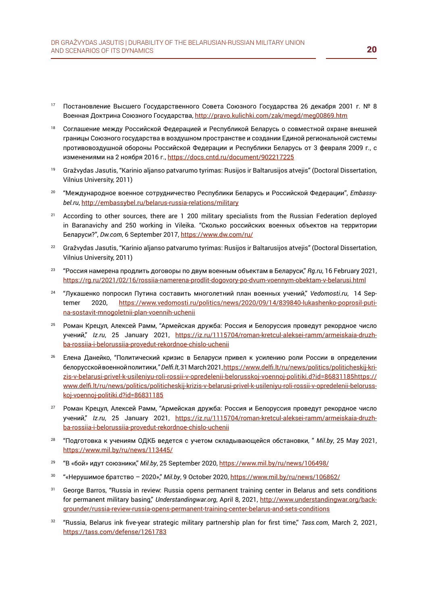- <sup>17</sup>Постановление Высшего Государственного Совета Союзного Государства 26 декабря 2001 г. № 8 Военная Доктрина Союзного Государства,<http://pravo.kulichki.com/zak/megd/meg00869.htm>
- 18 Соглашение между Российской Федерацией и Республикой Беларусь о совместной охране внешней границы Союзного государства в воздушном пространстве и создании Единой региональной системы противовоздушной обороны Российской Федерации и Республики Беларусь от 3 февраля 2009 г., с изменениями на 2 ноября 2016 г.,<https://docs.cntd.ru/document/902217225>
- <sup>19</sup> Gražvydas Jasutis, "Karinio aljanso patvarumo tyrimas: Rusijos ir Baltarusijos atvejis" (Doctoral Dissertation, Vilnius University, 2011)
- 20 "Международное военное сотрудничество Республики Беларусь и Российской Федерации", *Embassybel.ru*, <http://embassybel.ru/belarus-russia-relations/military>
- <sup>21</sup> According to other sources, there are 1 200 military specialists from the Russian Federation deployed in Baranavichy and 250 working in Vileika. "Сколько российских военных объектов на территории Беларуси?", *Dw.com*, 6 September 2017, <https://www.dw.com/ru/>
- <sup>22</sup> Gražvydas Jasutis, "Karinio aljanso patvarumo tyrimas: Rusijos ir Baltarusijos atvejis" (Doctoral Dissertation, Vilnius University, 2011)
- <sup>23</sup>"Россия намерена продлить договоры по двум военным объектам в Беларуси," *Rg.ru*, 16 February 2021, <https://rg.ru/2021/02/16/rossiia-namerena-prodlit-dogovory-po-dvum-voennym-obektam-v-belarusi.html>
- 24 "Лукашенко попросил Путина составить многолетний план военных учений," *Vedomosti.ru*, 14 Septemer 2020, [https://www.vedomosti.ru/politics/news/2020/09/14/839840-lukashenko-poprosil-puti](https://www.vedomosti.ru/politics/news/2020/09/14/839840-lukashenko-poprosil-putina-sostavit-mnogole)[na-sostavit-mnogoletnii-plan-voennih-uchenii](https://www.vedomosti.ru/politics/news/2020/09/14/839840-lukashenko-poprosil-putina-sostavit-mnogole)
- 25 Роман Крецул, Алексей Рамм, "Армейская дружба: Россия и Белоруссия проведут рекордное число учений," *Iz.ru*, 25 January 2021, https[://iz.ru/1115704/roman-kretcul-aleksei-ramm/armeiskaia-druzh](https://iz.ru/1115704/roman-kretcul-aleksei-ramm/armeiskaia-druzhba-rossiia-i-belorussiia-provedut-rekordnoe-chislo-uchenii)ba-rossiia-i[-belorussiia-provedut-rekordnoe-chislo-uchenii](https://iz.ru/1115704/roman-kretcul-aleksei-ramm/armeiskaia-druzhba-rossiia-i-belorussiia-provedut-rekordnoe-chislo-uchenii)
- <sup>26</sup>Елена Данейко, "Политический кризис в Беларуси привел к усилению роли России в определении белорусской военной политики, " *Delfi.lt*, 31 March 2021, https[://www.delfi.lt/ru/news/politics/politicheskij-kri](https://www.delfi.lt/ru/news/politics/politicheskij-krizis-v-belarusi-privel-k-usileniyu-roli-rossii)zis-v-belarusi[-privel-k-usileniyu-roli-rossii-v-opredelenii-belorusskoj-voennoj-politiki.d?id=86831185https://](https://www.delfi.lt/ru/news/politics/politicheskij-krizis-v-belarusi-privel-k-usileniyu-roli-rossii) [www.delfi.lt/ru/news/politics/politicheskij-krizis-v-belarusi-privel-k-usileniyu-roli-rossii-v-opredelenii](https://www.delfi.lt/ru/news/politics/politicheskij-krizis-v-belarusi-privel-k-usileniyu-roli-rossii)-beloruss[koj-voennoj-politiki.d?id=86831185](https://www.delfi.lt/ru/news/politics/politicheskij-krizis-v-belarusi-privel-k-usileniyu-roli-rossii)
- <sup>27</sup> Роман Крецул, Алексей Рамм, "Армейская дружба: Россия и Белоруссия проведут рекордное число учений," *Iz.ru*, 25 January 2021, [https://iz.ru/1115704/roman-kretcul-aleksei-ramm/armeiskaia-druzh](https://iz.ru/1115704/roman-kretcul-aleksei-ramm/armeiskaia-druzhba-rossiia-i-belorussiia-provedut-r)ba-rossiia[-i-belorussiia-provedut-rekordnoe-chislo-uchenii](https://iz.ru/1115704/roman-kretcul-aleksei-ramm/armeiskaia-druzhba-rossiia-i-belorussiia-provedut-r)
- 28 "Подготовка к учениям ОДКБ ведется с учетом складывающейся обстановки, " *Mil.by*, 25 May 2021, <https://www.mil.by/ru/news/113445/>
- <sup>29</sup>"В «бой» идут союзники," *Mil.by*, 25 September 2020, https[://www.mil.by/ru/news/106498/](https://www.mil.by/ru/news/106498/)
- <sup>30</sup> "«Нерушимое братство 2020»," *Mil.by*, 9 October 2020, <https://www.mil.by/ru/news/106862/>
- <sup>31</sup> George Barros, "Russia in review: Russia opens permanent training center in Belarus and sets conditions for permanent military basing," *Understandingwar.org*, April 8, 2021, [http://www.understandingwar.org/back](http://www.understandingwar.org/backgrounder/russia-review-russia-opens-permanent-training-center-belarus-and-sets-conditions)[grounder/russia-review-russia-opens-permanent-training-center-belarus-and-sets-conditions](http://www.understandingwar.org/backgrounder/russia-review-russia-opens-permanent-training-center-belarus-and-sets-conditions)
- <sup>32</sup>"Russia, Belarus ink five-year strategic military partnership plan for first time," *Tass.com*, March 2, 2021, <https://tass.com/defense/1261783>